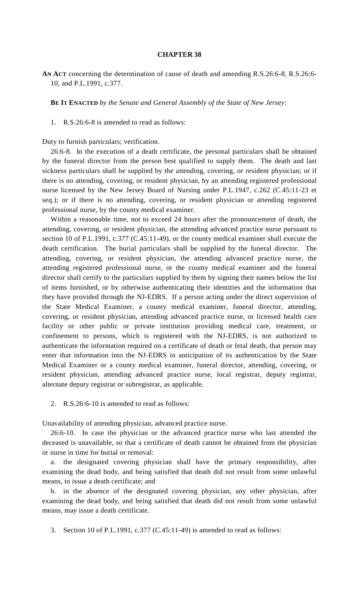## **CHAPTER 38**

**AN ACT** concerning the determination of cause of death and amending R.S.26:6-8, R.S.26:6- 10, and P.L.1991, c.377.

**BE IT ENACTED** *by the Senate and General Assembly of the State of New Jersey:*

1. R.S.26:6-8 is amended to read as follows:

Duty to furnish particulars; verification.

 26:6-8. In the execution of a death certificate, the personal particulars shall be obtained by the funeral director from the person best qualified to supply them. The death and last sickness particulars shall be supplied by the attending, covering, or resident physician; or if there is no attending, covering, or resident physician, by an attending registered professional nurse licensed by the New Jersey Board of Nursing under P.L.1947, c.262 (C.45:11-23 et seq.); or if there is no attending, covering, or resident physician or attending registered professional nurse, by the county medical examiner.

 Within a reasonable time, not to exceed 24 hours after the pronouncement of death, the attending, covering, or resident physician, the attending advanced practice nurse pursuant to section 10 of P.L.1991, c.377 (C.45:11-49), or the county medical examiner shall execute the death certification. The burial particulars shall be supplied by the funeral director. The attending, covering, or resident physician, the attending advanced practice nurse, the attending registered professional nurse, or the county medical examiner and the funeral director shall certify to the particulars supplied by them by signing their names below the list of items furnished, or by otherwise authenticating their identities and the information that they have provided through the NJ-EDRS. If a person acting under the direct supervision of the State Medical Examiner, a county medical examiner, funeral director, attending, covering, or resident physician, attending advanced practice nurse, or licensed health care facility or other public or private institution providing medical care, treatment, or confinement to persons, which is registered with the NJ-EDRS, is not authorized to authenticate the information required on a certificate of death or fetal death, that person may enter that information into the NJ-EDRS in anticipation of its authentication by the State Medical Examiner or a county medical examiner, funeral director, attending, covering, or resident physician, attending advanced practice nurse, local registrar, deputy registrar, alternate deputy registrar or subregistrar, as applicable.

2. R.S.26:6-10 is amended to read as follows:

Unavailability of attending physician, advanced practice nurse.

 26:6-10. In case the physician or the advanced practice nurse who last attended the deceased is unavailable, so that a certificate of death cannot be obtained from the physician or nurse in time for burial or removal:

 a. the designated covering physician shall have the primary responsibility, after examining the dead body, and being satisfied that death did not result from some unlawful means, to issue a death certificate; and

 b. in the absence of the designated covering physician, any other physician, after examining the dead body, and being satisfied that death did not result from some unlawful means, may issue a death certificate.

3. Section 10 of P.L.1991, c.377 (C.45:11-49) is amended to read as follows: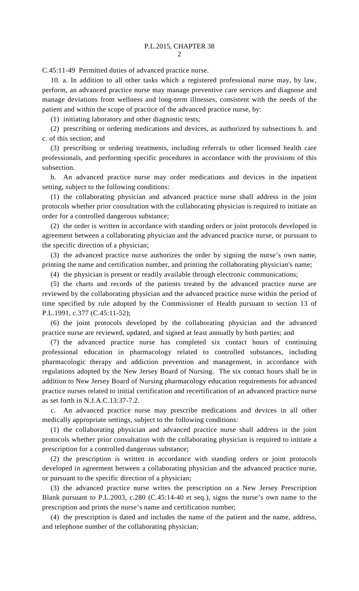C.45:11-49 Permitted duties of advanced practice nurse.

 10. a. In addition to all other tasks which a registered professional nurse may, by law, perform, an advanced practice nurse may manage preventive care services and diagnose and manage deviations from wellness and long-term illnesses, consistent with the needs of the patient and within the scope of practice of the advanced practice nurse, by:

(1) initiating laboratory and other diagnostic tests;

 (2) prescribing or ordering medications and devices, as authorized by subsections b. and c. of this section; and

 (3) prescribing or ordering treatments, including referrals to other licensed health care professionals, and performing specific procedures in accordance with the provisions of this subsection.

 b. An advanced practice nurse may order medications and devices in the inpatient setting, subject to the following conditions:

 (1) the collaborating physician and advanced practice nurse shall address in the joint protocols whether prior consultation with the collaborating physician is required to initiate an order for a controlled dangerous substance;

 (2) the order is written in accordance with standing orders or joint protocols developed in agreement between a collaborating physician and the advanced practice nurse, or pursuant to the specific direction of a physician;

 (3) the advanced practice nurse authorizes the order by signing the nurse's own name, printing the name and certification number, and printing the collaborating physician's name;

(4) the physician is present or readily available through electronic communications;

 (5) the charts and records of the patients treated by the advanced practice nurse are reviewed by the collaborating physician and the advanced practice nurse within the period of time specified by rule adopted by the Commissioner of Health pursuant to section 13 of P.L.1991, c.377 (C.45:11-52);

 (6) the joint protocols developed by the collaborating physician and the advanced practice nurse are reviewed, updated, and signed at least annually by both parties; and

 (7) the advanced practice nurse has completed six contact hours of continuing professional education in pharmacology related to controlled substances, including pharmacologic therapy and addiction prevention and management, in accordance with regulations adopted by the New Jersey Board of Nursing. The six contact hours shall be in addition to New Jersey Board of Nursing pharmacology education requirements for advanced practice nurses related to initial certification and recertification of an advanced practice nurse as set forth in N.J.A.C.13:37-7.2.

 c. An advanced practice nurse may prescribe medications and devices in all other medically appropriate settings, subject to the following conditions:

 (1) the collaborating physician and advanced practice nurse shall address in the joint protocols whether prior consultation with the collaborating physician is required to initiate a prescription for a controlled dangerous substance;

 (2) the prescription is written in accordance with standing orders or joint protocols developed in agreement between a collaborating physician and the advanced practice nurse, or pursuant to the specific direction of a physician;

 (3) the advanced practice nurse writes the prescription on a New Jersey Prescription Blank pursuant to P.L.2003, c.280 (C.45:14-40 et seq.), signs the nurse's own name to the prescription and prints the nurse's name and certification number;

 (4) the prescription is dated and includes the name of the patient and the name, address, and telephone number of the collaborating physician;